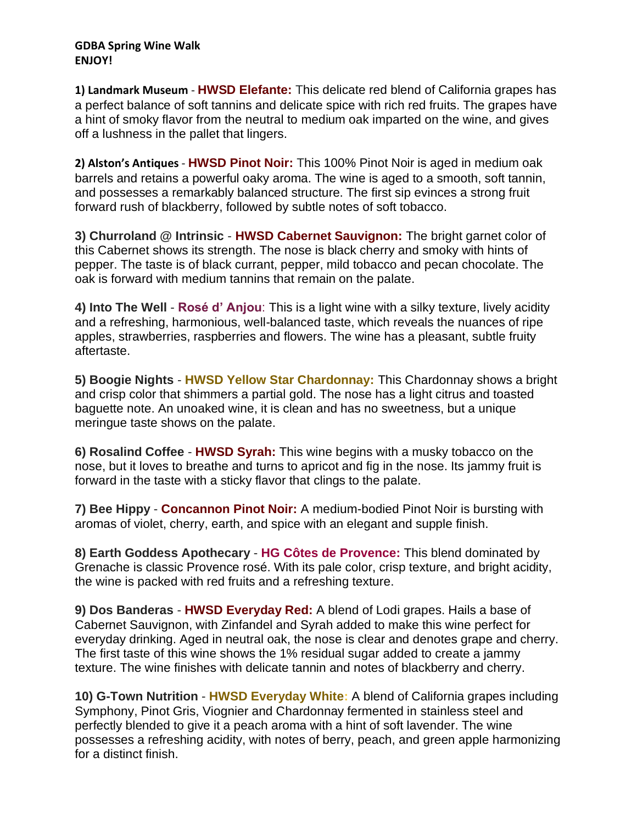## **GDBA Spring Wine Walk ENJOY!**

**1) Landmark Museum** - **HWSD Elefante:** This delicate red blend of California grapes has a perfect balance of soft tannins and delicate spice with rich red fruits. The grapes have a hint of smoky flavor from the neutral to medium oak imparted on the wine, and gives off a lushness in the pallet that lingers.

**2) Alston's Antiques** - **HWSD Pinot Noir:** This 100% Pinot Noir is aged in medium oak barrels and retains a powerful oaky aroma. The wine is aged to a smooth, soft tannin, and possesses a remarkably balanced structure. The first sip evinces a strong fruit forward rush of blackberry, followed by subtle notes of soft tobacco.

**3) Churroland @ Intrinsic** - **HWSD Cabernet Sauvignon:** The bright garnet color of this Cabernet shows its strength. The nose is black cherry and smoky with hints of pepper. The taste is of black currant, pepper, mild tobacco and pecan chocolate. The oak is forward with medium tannins that remain on the palate.

**4) Into The Well** - **Rosé d' Anjou**: This is a light wine with a silky texture, lively acidity and a refreshing, harmonious, well-balanced taste, which reveals the nuances of ripe apples, strawberries, raspberries and flowers. The wine has a pleasant, subtle fruity aftertaste.

**5) Boogie Nights** - **HWSD Yellow Star Chardonnay:** This Chardonnay shows a bright and crisp color that shimmers a partial gold. The nose has a light citrus and toasted baguette note. An unoaked wine, it is clean and has no sweetness, but a unique meringue taste shows on the palate.

**6) Rosalind Coffee** - **HWSD Syrah:** This wine begins with a musky tobacco on the nose, but it loves to breathe and turns to apricot and fig in the nose. Its jammy fruit is forward in the taste with a sticky flavor that clings to the palate.

**7) Bee Hippy** - **Concannon Pinot Noir:** A medium-bodied Pinot Noir is bursting with aromas of violet, cherry, earth, and spice with an elegant and supple finish.

**8) Earth Goddess Apothecary** - **HG Côtes de Provence:** This blend dominated by Grenache is classic Provence rosé. With its pale color, crisp texture, and bright acidity, the wine is packed with red fruits and a refreshing texture.

**9) Dos Banderas** - **HWSD Everyday Red:** A blend of Lodi grapes. Hails a base of Cabernet Sauvignon, with Zinfandel and Syrah added to make this wine perfect for everyday drinking. Aged in neutral oak, the nose is clear and denotes grape and cherry. The first taste of this wine shows the 1% residual sugar added to create a jammy texture. The wine finishes with delicate tannin and notes of blackberry and cherry.

**10) G-Town Nutrition** - **HWSD Everyday White:** A blend of California grapes including Symphony, Pinot Gris, Viognier and Chardonnay fermented in stainless steel and perfectly blended to give it a peach aroma with a hint of soft lavender. The wine possesses a refreshing acidity, with notes of berry, peach, and green apple harmonizing for a distinct finish.